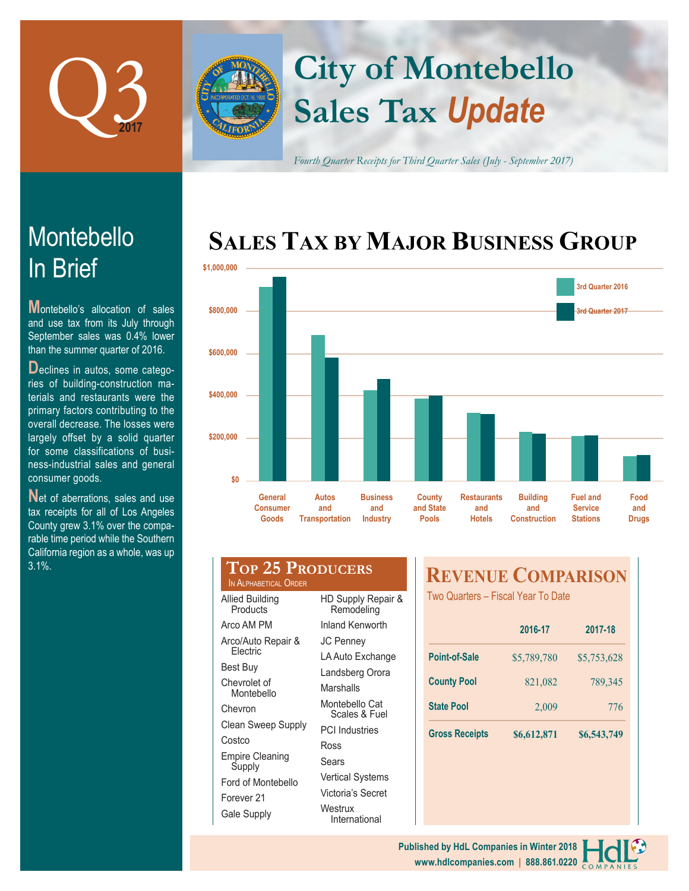

# **Sales Tax** *Update* **City of Montebello**

*Fourth Quarter Receipts for Third Quarter Sales (July - September 2017)*

## **SALES TAX BY MAJOR BUSINESS GROUP**



|           | <b>General</b><br><b>Consumer</b><br>Goods | <b>Autos</b><br>and<br><b>Transportation</b> | <b>Business</b><br>and<br><b>Industry</b> | <b>County</b><br>and State<br><b>Pools</b> | <b>Restaurants</b><br>and<br><b>Hotels</b> | <b>Building</b><br>and<br><b>Construction</b> | <b>Fuel and</b><br><b>Service</b><br><b>Stations</b> |  |
|-----------|--------------------------------------------|----------------------------------------------|-------------------------------------------|--------------------------------------------|--------------------------------------------|-----------------------------------------------|------------------------------------------------------|--|
| \$0       |                                            |                                              |                                           |                                            |                                            |                                               |                                                      |  |
| \$200,000 |                                            |                                              |                                           |                                            |                                            |                                               |                                                      |  |
| \$400,000 |                                            |                                              |                                           |                                            |                                            |                                               |                                                      |  |
| \$600,000 |                                            |                                              |                                           |                                            |                                            |                                               |                                                      |  |

| Goods                                     | Transportation | Industry                         | <b>Pools</b>     |
|-------------------------------------------|----------------|----------------------------------|------------------|
| TOP 25 PRODUCERS<br>IN ALPHABETICAL ORDER |                | <b>REVI</b>                      |                  |
| <b>Allied Building</b><br>Products        |                | HD Supply Repair &<br>Remodeling | <b>Two Quart</b> |

| Products                   | Remodeling                                    |  |  |  |
|----------------------------|-----------------------------------------------|--|--|--|
| Arco AM PM                 | Inland Kenworth                               |  |  |  |
| Arco/Auto Repair &         | <b>JC Penney</b>                              |  |  |  |
| Flectric                   | LA Auto Exchange                              |  |  |  |
| Best Buy                   | Landsberg Orora                               |  |  |  |
| Chevrolet of<br>Montebello | Marshalls                                     |  |  |  |
| Chevron                    | Montebello Cat<br>Scales & Fuel               |  |  |  |
| Clean Sweep Supply         | <b>PCI</b> Industries                         |  |  |  |
| Costco                     | Ross                                          |  |  |  |
| Empire Cleaning<br>Supply  | Sears                                         |  |  |  |
| Ford of Montebello         | <b>Vertical Systems</b>                       |  |  |  |
| Forever 21                 | Victoria's Secret<br>Westrux<br>International |  |  |  |
| Gale Supply                |                                               |  |  |  |

### *RNUE COMPARISON*

ters – Fiscal Year To Date

|                       | 2016-17     | 2017-18     |  |
|-----------------------|-------------|-------------|--|
| <b>Point-of-Sale</b>  | \$5,789,780 | \$5,753,628 |  |
| <b>County Pool</b>    | 821,082     | 789,345     |  |
| <b>State Pool</b>     | 2,009       | 776         |  |
| <b>Gross Receipts</b> | \$6,612,871 | \$6,543,749 |  |

# In Brief Montebello

**M**ontebello's allocation of sales and use tax from its July through September sales was 0.4% lower than the summer quarter of 2016.

**D**eclines in autos, some categories of building-construction materials and restaurants were the primary factors contributing to the overall decrease. The losses were largely offset by a solid quarter for some classifications of business-industrial sales and general consumer goods.

Net of aberrations, sales and use tax receipts for all of Los Angeles County grew 3.1% over the comparable time period while the Southern California region as a whole, was up 3.1%.

> **www.hdlcompanies.com | 888.861.0220 Published by HdL Companies in Winter 2018**